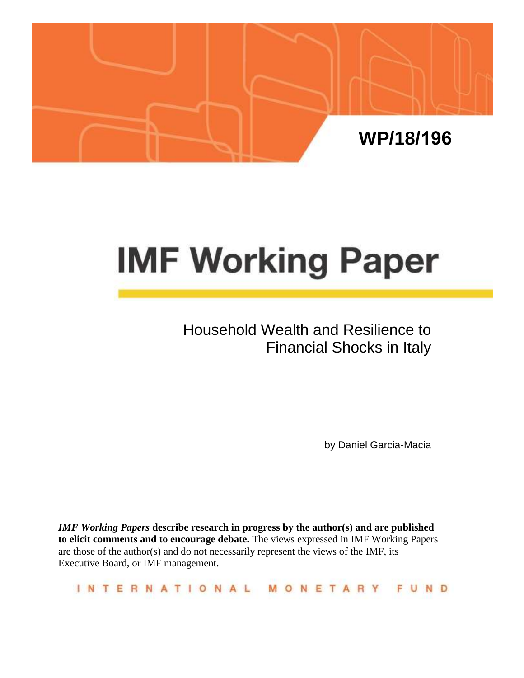

# **IMF Working Paper**

# Household Wealth and Resilience to Financial Shocks in Italy

by Daniel Garcia-Macia

*IMF Working Papers* **describe research in progress by the author(s) and are published to elicit comments and to encourage debate.** The views expressed in IMF Working Papers are those of the author(s) and do not necessarily represent the views of the IMF, its Executive Board, or IMF management.

|  |  |  | INTERNATIONAL MONETARY FUND |  |  |  |  |  |  |  |  |  |  |
|--|--|--|-----------------------------|--|--|--|--|--|--|--|--|--|--|
|  |  |  |                             |  |  |  |  |  |  |  |  |  |  |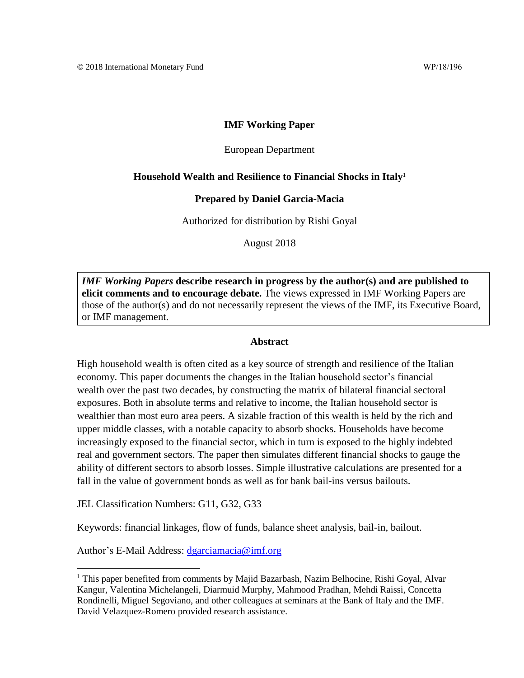# **IMF Working Paper**

#### European Department

#### **Household Wealth and Resilience to Financial Shocks in Italy<sup>1</sup>**

#### **Prepared by Daniel Garcia-Macia**

Authorized for distribution by Rishi Goyal

August 2018

*IMF Working Papers* **describe research in progress by the author(s) and are published to elicit comments and to encourage debate.** The views expressed in IMF Working Papers are those of the author(s) and do not necessarily represent the views of the IMF, its Executive Board, or IMF management.

#### **Abstract**

High household wealth is often cited as a key source of strength and resilience of the Italian economy. This paper documents the changes in the Italian household sector's financial wealth over the past two decades, by constructing the matrix of bilateral financial sectoral exposures. Both in absolute terms and relative to income, the Italian household sector is wealthier than most euro area peers. A sizable fraction of this wealth is held by the rich and upper middle classes, with a notable capacity to absorb shocks. Households have become increasingly exposed to the financial sector, which in turn is exposed to the highly indebted real and government sectors. The paper then simulates different financial shocks to gauge the ability of different sectors to absorb losses. Simple illustrative calculations are presented for a fall in the value of government bonds as well as for bank bail-ins versus bailouts.

JEL Classification Numbers: G11, G32, G33

Keywords: financial linkages, flow of funds, balance sheet analysis, bail-in, bailout.

Author's E-Mail Address: [dgarciamacia@imf.org](mailto:dgarciamacia@imf.org)

<sup>&</sup>lt;sup>1</sup> This paper benefited from comments by Majid Bazarbash, Nazim Belhocine, Rishi Goyal, Alvar Kangur, Valentina Michelangeli, Diarmuid Murphy, Mahmood Pradhan, Mehdi Raissi, Concetta Rondinelli, Miguel Segoviano, and other colleagues at seminars at the Bank of Italy and the IMF. David Velazquez-Romero provided research assistance.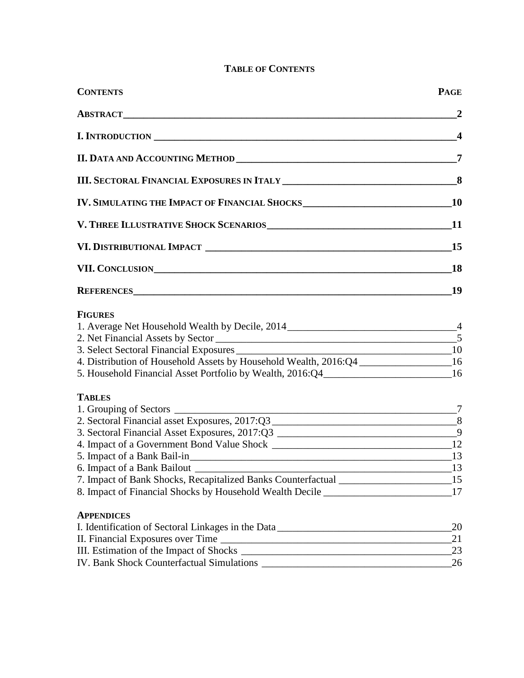# **TABLE OF CONTENTS**

| <b>CONTENTS</b>                                                                     | <b>PAGE</b>      |
|-------------------------------------------------------------------------------------|------------------|
|                                                                                     | $\mathbf{2}$     |
|                                                                                     | $\boldsymbol{4}$ |
|                                                                                     | $\overline{7}$   |
|                                                                                     |                  |
|                                                                                     |                  |
|                                                                                     |                  |
|                                                                                     |                  |
| VII. CONCLUSION                                                                     | <b>18</b>        |
|                                                                                     | 19               |
| <b>FIGURES</b>                                                                      |                  |
| 1. Average Net Household Wealth by Decile, 2014 _________________________________4  |                  |
|                                                                                     |                  |
| 4. Distribution of Household Assets by Household Wealth, 2016:Q4 ________________16 |                  |
| 5. Household Financial Asset Portfolio by Wealth, 2016:Q4________________________16 |                  |
| <b>TABLES</b>                                                                       |                  |
| $\overline{7}$                                                                      |                  |
|                                                                                     |                  |
| 3. Sectoral Financial Asset Exposures, 2017:Q3 ___________________________________9 |                  |
| 5. Impact of a Bank Bail-in 13                                                      |                  |
|                                                                                     |                  |
| 7. Impact of Bank Shocks, Recapitalized Banks Counterfactual ____________________15 |                  |
| 8. Impact of Financial Shocks by Household Wealth Decile 17                         |                  |
| <b>APPENDICES</b>                                                                   |                  |
| I. Identification of Sectoral Linkages in the Data _____________________________    | 20               |
|                                                                                     | 21<br>23         |
|                                                                                     |                  |
|                                                                                     |                  |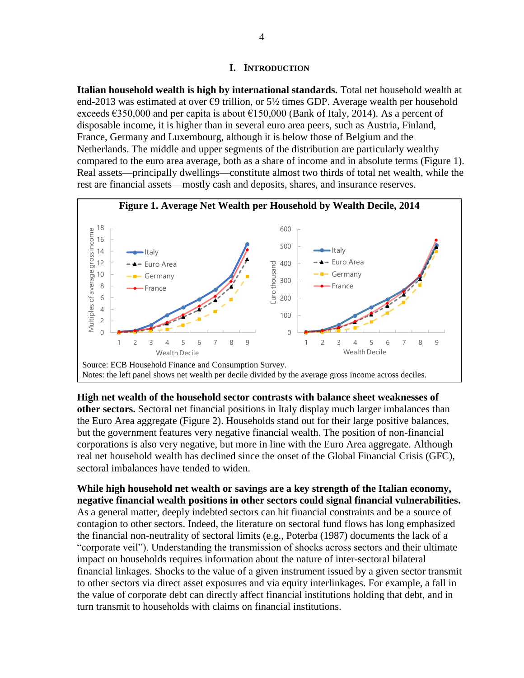# **I. INTRODUCTION**

**Italian household wealth is high by international standards.** Total net household wealth at end-2013 was estimated at over  $\epsilon$ 9 trillion, or 5½ times GDP. Average wealth per household exceeds  $\epsilon$ 350,000 and per capita is about  $\epsilon$ 150,000 (Bank of Italy, 2014). As a percent of disposable income, it is higher than in several euro area peers, such as Austria, Finland, France, Germany and Luxembourg, although it is below those of Belgium and the Netherlands. The middle and upper segments of the distribution are particularly wealthy compared to the euro area average, both as a share of income and in absolute terms (Figure 1). Real assets—principally dwellings—constitute almost two thirds of total net wealth, while the rest are financial assets—mostly cash and deposits, shares, and insurance reserves.



**High net wealth of the household sector contrasts with balance sheet weaknesses of other sectors.** Sectoral net financial positions in Italy display much larger imbalances than the Euro Area aggregate (Figure 2). Households stand out for their large positive balances, but the government features very negative financial wealth. The position of non-financial corporations is also very negative, but more in line with the Euro Area aggregate. Although real net household wealth has declined since the onset of the Global Financial Crisis (GFC), sectoral imbalances have tended to widen.

**While high household net wealth or savings are a key strength of the Italian economy, negative financial wealth positions in other sectors could signal financial vulnerabilities.** As a general matter, deeply indebted sectors can hit financial constraints and be a source of contagion to other sectors. Indeed, the literature on sectoral fund flows has long emphasized the financial non-neutrality of sectoral limits (e.g., Poterba (1987) documents the lack of a "corporate veil"). Understanding the transmission of shocks across sectors and their ultimate impact on households requires information about the nature of inter-sectoral bilateral financial linkages. Shocks to the value of a given instrument issued by a given sector transmit to other sectors via direct asset exposures and via equity interlinkages. For example, a fall in the value of corporate debt can directly affect financial institutions holding that debt, and in turn transmit to households with claims on financial institutions.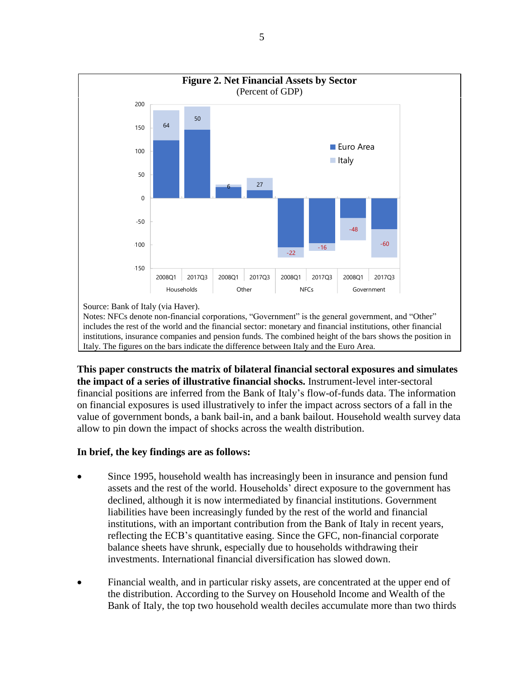

**This paper constructs the matrix of bilateral financial sectoral exposures and simulates the impact of a series of illustrative financial shocks.** Instrument-level inter-sectoral financial positions are inferred from the Bank of Italy's flow-of-funds data. The information on financial exposures is used illustratively to infer the impact across sectors of a fall in the value of government bonds, a bank bail-in, and a bank bailout. Household wealth survey data allow to pin down the impact of shocks across the wealth distribution.

# **In brief, the key findings are as follows:**

- Since 1995, household wealth has increasingly been in insurance and pension fund assets and the rest of the world. Households' direct exposure to the government has declined, although it is now intermediated by financial institutions. Government liabilities have been increasingly funded by the rest of the world and financial institutions, with an important contribution from the Bank of Italy in recent years, reflecting the ECB's quantitative easing. Since the GFC, non-financial corporate balance sheets have shrunk, especially due to households withdrawing their investments. International financial diversification has slowed down.
- Financial wealth, and in particular risky assets, are concentrated at the upper end of the distribution. According to the Survey on Household Income and Wealth of the Bank of Italy, the top two household wealth deciles accumulate more than two thirds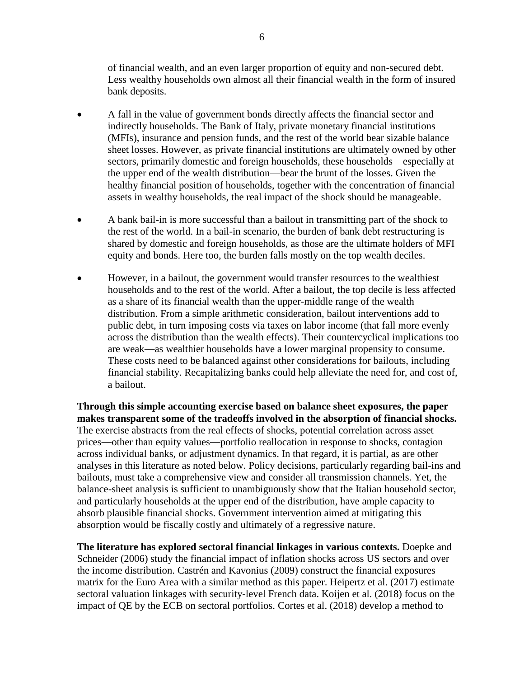of financial wealth, and an even larger proportion of equity and non-secured debt. Less wealthy households own almost all their financial wealth in the form of insured bank deposits.

- A fall in the value of government bonds directly affects the financial sector and indirectly households. The Bank of Italy, private monetary financial institutions (MFIs), insurance and pension funds, and the rest of the world bear sizable balance sheet losses. However, as private financial institutions are ultimately owned by other sectors, primarily domestic and foreign households, these households—especially at the upper end of the wealth distribution—bear the brunt of the losses. Given the healthy financial position of households, together with the concentration of financial assets in wealthy households, the real impact of the shock should be manageable.
- A bank bail-in is more successful than a bailout in transmitting part of the shock to the rest of the world. In a bail-in scenario, the burden of bank debt restructuring is shared by domestic and foreign households, as those are the ultimate holders of MFI equity and bonds. Here too, the burden falls mostly on the top wealth deciles.
- However, in a bailout, the government would transfer resources to the wealthiest households and to the rest of the world. After a bailout, the top decile is less affected as a share of its financial wealth than the upper-middle range of the wealth distribution. From a simple arithmetic consideration, bailout interventions add to public debt, in turn imposing costs via taxes on labor income (that fall more evenly across the distribution than the wealth effects). Their countercyclical implications too are weak—as wealthier households have a lower marginal propensity to consume. These costs need to be balanced against other considerations for bailouts, including financial stability. Recapitalizing banks could help alleviate the need for, and cost of, a bailout.

**Through this simple accounting exercise based on balance sheet exposures, the paper makes transparent some of the tradeoffs involved in the absorption of financial shocks.**  The exercise abstracts from the real effects of shocks, potential correlation across asset prices—other than equity values—portfolio reallocation in response to shocks, contagion across individual banks, or adjustment dynamics. In that regard, it is partial, as are other analyses in this literature as noted below. Policy decisions, particularly regarding bail-ins and bailouts, must take a comprehensive view and consider all transmission channels. Yet, the balance-sheet analysis is sufficient to unambiguously show that the Italian household sector, and particularly households at the upper end of the distribution, have ample capacity to absorb plausible financial shocks. Government intervention aimed at mitigating this absorption would be fiscally costly and ultimately of a regressive nature.

**The literature has explored sectoral financial linkages in various contexts.** Doepke and Schneider (2006) study the financial impact of inflation shocks across US sectors and over the income distribution. Castrén and Kavonius (2009) construct the financial exposures matrix for the Euro Area with a similar method as this paper. Heipertz et al. (2017) estimate sectoral valuation linkages with security-level French data. Koijen et al. (2018) focus on the impact of QE by the ECB on sectoral portfolios. Cortes et al. (2018) develop a method to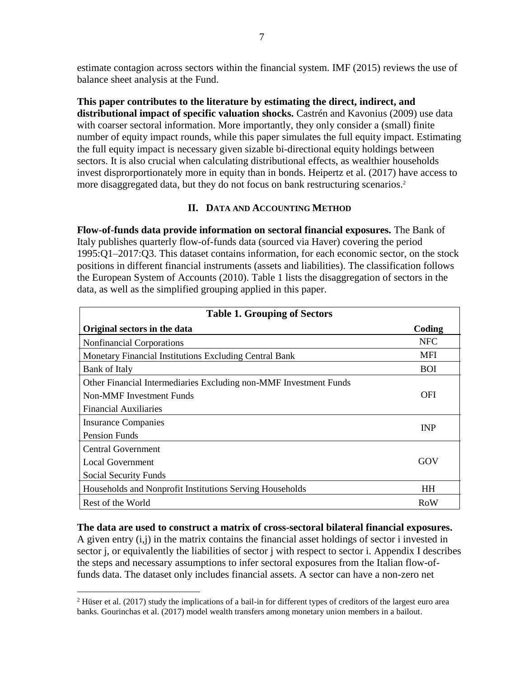estimate contagion across sectors within the financial system. IMF (2015) reviews the use of balance sheet analysis at the Fund.

**This paper contributes to the literature by estimating the direct, indirect, and distributional impact of specific valuation shocks.** Castrén and Kavonius (2009) use data with coarser sectoral information. More importantly, they only consider a (small) finite number of equity impact rounds, while this paper simulates the full equity impact. Estimating the full equity impact is necessary given sizable bi-directional equity holdings between sectors. It is also crucial when calculating distributional effects, as wealthier households invest disprorportionately more in equity than in bonds. Heipertz et al. (2017) have access to more disaggregated data, but they do not focus on bank restructuring scenarios.<sup>2</sup>

# **II. DATA AND ACCOUNTING METHOD**

**Flow-of-funds data provide information on sectoral financial exposures.** The Bank of Italy publishes quarterly flow-of-funds data (sourced via Haver) covering the period 1995:Q1–2017:Q3. This dataset contains information, for each economic sector, on the stock positions in different financial instruments (assets and liabilities). The classification follows the European System of Accounts (2010). Table 1 lists the disaggregation of sectors in the data, as well as the simplified grouping applied in this paper.

| <b>Table 1. Grouping of Sectors</b>                               |            |
|-------------------------------------------------------------------|------------|
| Original sectors in the data                                      | Coding     |
| <b>Nonfinancial Corporations</b>                                  | <b>NFC</b> |
| <b>Monetary Financial Institutions Excluding Central Bank</b>     | <b>MFI</b> |
| Bank of Italy                                                     | <b>BOI</b> |
| Other Financial Intermediaries Excluding non-MMF Investment Funds |            |
| Non-MMF Investment Funds                                          | OFI        |
| <b>Financial Auxiliaries</b>                                      |            |
| Insurance Companies                                               | <b>INP</b> |
| <b>Pension Funds</b>                                              |            |
| Central Government                                                |            |
| <b>Local Government</b>                                           | GOV        |
| Social Security Funds                                             |            |
| Households and Nonprofit Institutions Serving Households          | <b>HH</b>  |
| Rest of the World                                                 | RoW        |

#### **The data are used to construct a matrix of cross-sectoral bilateral financial exposures.**

A given entry (i,j) in the matrix contains the financial asset holdings of sector i invested in sector j, or equivalently the liabilities of sector j with respect to sector i. Appendix I describes the steps and necessary assumptions to infer sectoral exposures from the Italian flow-offunds data. The dataset only includes financial assets. A sector can have a non-zero net

 $\overline{a}$ 

 $2$  Hüser et al. (2017) study the implications of a bail-in for different types of creditors of the largest euro area banks. Gourinchas et al. (2017) model wealth transfers among monetary union members in a bailout.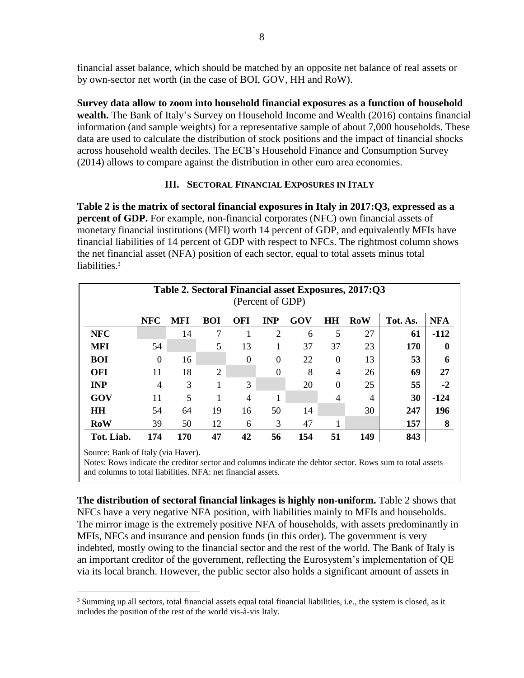financial asset balance, which should be matched by an opposite net balance of real assets or by own-sector net worth (in the case of BOI, GOV, HH and RoW).

**Survey data allow to zoom into household financial exposures as a function of household wealth.** The Bank of Italy's Survey on Household Income and Wealth (2016) contains financial information (and sample weights) for a representative sample of about 7,000 households. These data are used to calculate the distribution of stock positions and the impact of financial shocks across household wealth deciles. The ECB's Household Finance and Consumption Survey (2014) allows to compare against the distribution in other euro area economies.

# **III. SECTORAL FINANCIAL EXPOSURES IN ITALY**

**Table 2 is the matrix of sectoral financial exposures in Italy in 2017:Q3, expressed as a percent of GDP.** For example, non-financial corporates (NFC) own financial assets of monetary financial institutions (MFI) worth 14 percent of GDP, and equivalently MFIs have financial liabilities of 14 percent of GDP with respect to NFCs. The rightmost column shows the net financial asset (NFA) position of each sector, equal to total assets minus total liabilities.<sup>3</sup>

|                                    |                |     |                |            | (Percent of GDP) |     |                | Table 2. Sectoral Financial asset Exposures, 2017:Q3 |          |            |
|------------------------------------|----------------|-----|----------------|------------|------------------|-----|----------------|------------------------------------------------------|----------|------------|
|                                    | <b>NFC</b>     | MFI | <b>BOI</b>     | <b>OFI</b> | <b>INP</b>       | GOV | HH             | <b>RoW</b>                                           | Tot. As. | <b>NFA</b> |
| <b>NFC</b>                         |                | 14  | 7              |            | $\overline{2}$   | 6   | 5              | 27                                                   | 61       | $-112$     |
| <b>MFI</b>                         | 54             |     | 5              | 13         | 1                | 37  | 37             | 23                                                   | 170      | $\bf{0}$   |
| <b>BOI</b>                         | $\theta$       | 16  |                | $\theta$   | $\theta$         | 22  | $\theta$       | 13                                                   | 53       | 6          |
| <b>OFI</b>                         | 11             | 18  | $\overline{2}$ |            | $\theta$         | 8   | $\overline{4}$ | 26                                                   | 69       | 27         |
| <b>INP</b>                         | $\overline{4}$ | 3   |                | 3          |                  | 20  | $\Omega$       | 25                                                   | 55       | $-2$       |
| GOV                                | 11             | 5   |                | 4          |                  |     | 4              | 4                                                    | 30       | $-124$     |
| <b>HH</b>                          | 54             | 64  | 19             | 16         | 50               | 14  |                | 30                                                   | 247      | 196        |
| RoW                                | 39             | 50  | 12             | 6          | 3                | 47  |                |                                                      | 157      | 8          |
| Tot. Liab.                         | 174            | 170 | 47             | 42         | 56               | 154 | 51             | 149                                                  | 843      |            |
| Source: Bank of Italy (via Haver). |                |     |                |            |                  |     |                |                                                      |          |            |

Notes: Rows indicate the creditor sector and columns indicate the debtor sector. Rows sum to total assets and columns to total liabilities. NFA: net financial assets.

**The distribution of sectoral financial linkages is highly non-uniform.** Table 2 shows that NFCs have a very negative NFA position, with liabilities mainly to MFIs and households. The mirror image is the extremely positive NFA of households, with assets predominantly in MFIs, NFCs and insurance and pension funds (in this order). The government is very indebted, mostly owing to the financial sector and the rest of the world. The Bank of Italy is an important creditor of the government, reflecting the Eurosystem's implementation of QE via its local branch. However, the public sector also holds a significant amount of assets in

 $\overline{a}$ 

<sup>&</sup>lt;sup>3</sup> Summing up all sectors, total financial assets equal total financial liabilities, i.e., the system is closed, as it includes the position of the rest of the world vis-à-vis Italy.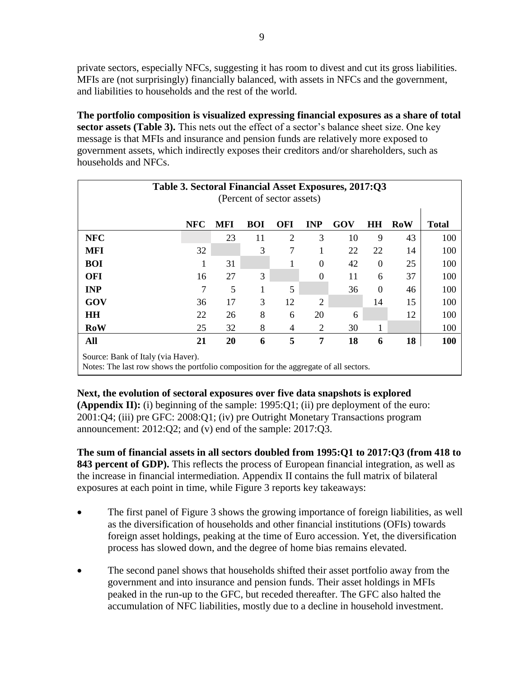private sectors, especially NFCs, suggesting it has room to divest and cut its gross liabilities. MFIs are (not surprisingly) financially balanced, with assets in NFCs and the government, and liabilities to households and the rest of the world.

**The portfolio composition is visualized expressing financial exposures as a share of total sector assets (Table 3).** This nets out the effect of a sector's balance sheet size. One key message is that MFIs and insurance and pension funds are relatively more exposed to government assets, which indirectly exposes their creditors and/or shareholders, such as households and NFCs.

|                                    |            |            | (Percent of sector assets) |                |                | Table 3. Sectoral Financial Asset Exposures, 2017:Q3 |          |            |              |
|------------------------------------|------------|------------|----------------------------|----------------|----------------|------------------------------------------------------|----------|------------|--------------|
|                                    | <b>NFC</b> | <b>MFI</b> | <b>BOI</b>                 | <b>OFI</b>     | <b>INP</b>     | GOV                                                  | HH       | <b>RoW</b> | <b>Total</b> |
| <b>NFC</b>                         |            | 23         | 11                         | $\overline{2}$ | 3              | 10                                                   | 9        | 43         | 100          |
| <b>MFI</b>                         | 32         |            | 3                          | 7              | 1              | 22                                                   | 22       | 14         | 100          |
| <b>BOI</b>                         | 1          | 31         |                            |                | $\Omega$       | 42                                                   | $\Omega$ | 25         | 100          |
| <b>OFI</b>                         | 16         | 27         | 3                          |                | $\theta$       | 11                                                   | 6        | 37         | 100          |
| <b>INP</b>                         | 7          | 5          |                            | 5              |                | 36                                                   | $\theta$ | 46         | 100          |
| GOV                                | 36         | 17         | 3                          | 12             | $\overline{2}$ |                                                      | 14       | 15         | 100          |
| <b>HH</b>                          | 22         | 26         | 8                          | 6              | 20             | 6                                                    |          | 12         | 100          |
| <b>RoW</b>                         | 25         | 32         | 8                          | 4              | 2              | 30                                                   |          |            | 100          |
| All                                | 21         | 20         | 6                          | 5              | 7              | 18                                                   | 6        | 18         | 100          |
| Source: Bank of Italy (via Haver). |            |            |                            |                |                |                                                      |          |            |              |

Notes: The last row shows the portfolio composition for the aggregate of all sectors.

# **Next, the evolution of sectoral exposures over five data snapshots is explored**

**(Appendix II):** (i) beginning of the sample: 1995:Q1; (ii) pre deployment of the euro: 2001:Q4; (iii) pre GFC: 2008:Q1; (iv) pre Outright Monetary Transactions program announcement: 2012:Q2; and (v) end of the sample: 2017:Q3.

**The sum of financial assets in all sectors doubled from 1995:Q1 to 2017:Q3 (from 418 to 843 percent of GDP).** This reflects the process of European financial integration, as well as the increase in financial intermediation. Appendix II contains the full matrix of bilateral exposures at each point in time, while Figure 3 reports key takeaways:

- The first panel of Figure 3 shows the growing importance of foreign liabilities, as well as the diversification of households and other financial institutions (OFIs) towards foreign asset holdings, peaking at the time of Euro accession. Yet, the diversification process has slowed down, and the degree of home bias remains elevated.
- The second panel shows that households shifted their asset portfolio away from the government and into insurance and pension funds. Their asset holdings in MFIs peaked in the run-up to the GFC, but receded thereafter. The GFC also halted the accumulation of NFC liabilities, mostly due to a decline in household investment.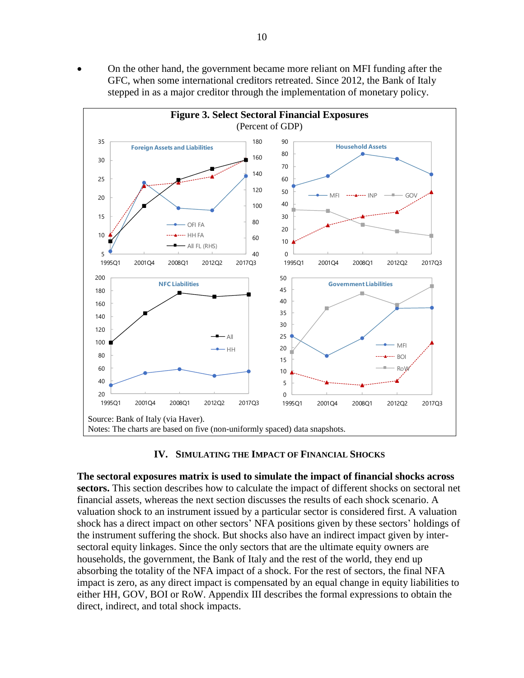• On the other hand, the government became more reliant on MFI funding after the GFC, when some international creditors retreated. Since 2012, the Bank of Italy stepped in as a major creditor through the implementation of monetary policy.



#### **IV. SIMULATING THE IMPACT OF FINANCIAL SHOCKS**

**The sectoral exposures matrix is used to simulate the impact of financial shocks across sectors.** This section describes how to calculate the impact of different shocks on sectoral net financial assets, whereas the next section discusses the results of each shock scenario. A valuation shock to an instrument issued by a particular sector is considered first. A valuation shock has a direct impact on other sectors' NFA positions given by these sectors' holdings of the instrument suffering the shock. But shocks also have an indirect impact given by intersectoral equity linkages. Since the only sectors that are the ultimate equity owners are households, the government, the Bank of Italy and the rest of the world, they end up absorbing the totality of the NFA impact of a shock. For the rest of sectors, the final NFA impact is zero, as any direct impact is compensated by an equal change in equity liabilities to either HH, GOV, BOI or RoW. Appendix III describes the formal expressions to obtain the direct, indirect, and total shock impacts.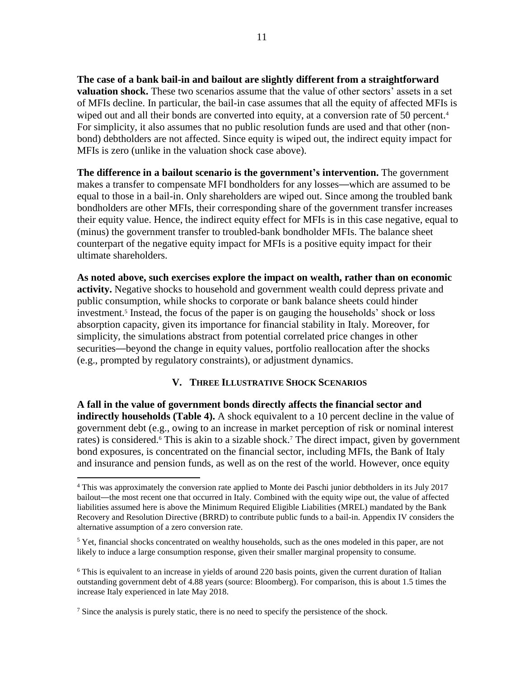**The case of a bank bail-in and bailout are slightly different from a straightforward valuation shock.** These two scenarios assume that the value of other sectors' assets in a set of MFIs decline. In particular, the bail-in case assumes that all the equity of affected MFIs is wiped out and all their bonds are converted into equity, at a conversion rate of 50 percent.<sup>4</sup> For simplicity, it also assumes that no public resolution funds are used and that other (nonbond) debtholders are not affected. Since equity is wiped out, the indirect equity impact for MFIs is zero (unlike in the valuation shock case above).

**The difference in a bailout scenario is the government's intervention.** The government makes a transfer to compensate MFI bondholders for any losses—which are assumed to be equal to those in a bail-in. Only shareholders are wiped out. Since among the troubled bank bondholders are other MFIs, their corresponding share of the government transfer increases their equity value. Hence, the indirect equity effect for MFIs is in this case negative, equal to (minus) the government transfer to troubled-bank bondholder MFIs. The balance sheet counterpart of the negative equity impact for MFIs is a positive equity impact for their ultimate shareholders.

**As noted above, such exercises explore the impact on wealth, rather than on economic activity.** Negative shocks to household and government wealth could depress private and public consumption, while shocks to corporate or bank balance sheets could hinder investment.<sup>5</sup> Instead, the focus of the paper is on gauging the households' shock or loss absorption capacity, given its importance for financial stability in Italy. Moreover, for simplicity, the simulations abstract from potential correlated price changes in other securities—beyond the change in equity values, portfolio reallocation after the shocks (e.g., prompted by regulatory constraints), or adjustment dynamics.

# **V. THREE ILLUSTRATIVE SHOCK SCENARIOS**

**A fall in the value of government bonds directly affects the financial sector and indirectly households (Table 4).** A shock equivalent to a 10 percent decline in the value of government debt (e.g., owing to an increase in market perception of risk or nominal interest rates) is considered.<sup>6</sup> This is akin to a sizable shock.<sup>7</sup> The direct impact, given by government bond exposures, is concentrated on the financial sector, including MFIs, the Bank of Italy and insurance and pension funds, as well as on the rest of the world. However, once equity

 $\overline{a}$ 

<sup>4</sup> This was approximately the conversion rate applied to Monte dei Paschi junior debtholders in its July 2017 bailout—the most recent one that occurred in Italy. Combined with the equity wipe out, the value of affected liabilities assumed here is above the Minimum Required Eligible Liabilities (MREL) mandated by the Bank Recovery and Resolution Directive (BRRD) to contribute public funds to a bail-in. Appendix IV considers the alternative assumption of a zero conversion rate.

 $5$  Yet, financial shocks concentrated on wealthy households, such as the ones modeled in this paper, are not likely to induce a large consumption response, given their smaller marginal propensity to consume.

 $6$  This is equivalent to an increase in yields of around 220 basis points, given the current duration of Italian outstanding government debt of 4.88 years (source: Bloomberg). For comparison, this is about 1.5 times the increase Italy experienced in late May 2018.

<sup>&</sup>lt;sup>7</sup> Since the analysis is purely static, there is no need to specify the persistence of the shock.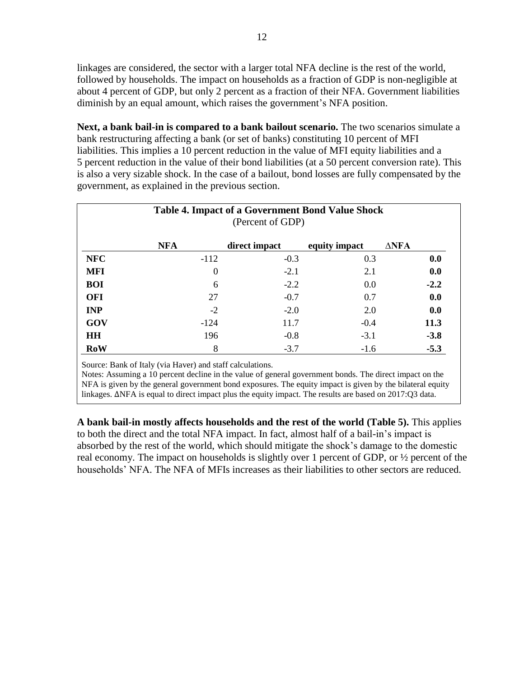linkages are considered, the sector with a larger total NFA decline is the rest of the world, followed by households. The impact on households as a fraction of GDP is non-negligible at about 4 percent of GDP, but only 2 percent as a fraction of their NFA. Government liabilities diminish by an equal amount, which raises the government's NFA position.

**Next, a bank bail-in is compared to a bank bailout scenario.** The two scenarios simulate a bank restructuring affecting a bank (or set of banks) constituting 10 percent of MFI liabilities. This implies a 10 percent reduction in the value of MFI equity liabilities and a 5 percent reduction in the value of their bond liabilities (at a 50 percent conversion rate). This is also a very sizable shock. In the case of a bailout, bond losses are fully compensated by the government, as explained in the previous section.

|            |            | <b>Table 4. Impact of a Government Bond Value Shock</b><br>(Percent of GDP) |               |                 |
|------------|------------|-----------------------------------------------------------------------------|---------------|-----------------|
|            | <b>NFA</b> | direct impact                                                               | equity impact | $\triangle$ NFA |
| <b>NFC</b> | $-112$     | $-0.3$                                                                      | 0.3           | 0.0             |
| <b>MFI</b> | $\Omega$   | $-2.1$                                                                      | 2.1           | 0.0             |
| <b>BOI</b> | 6          | $-2.2$                                                                      | 0.0           | $-2.2$          |
| <b>OFI</b> | 27         | $-0.7$                                                                      | 0.7           | 0.0             |
| <b>INP</b> | $-2$       | $-2.0$                                                                      | 2.0           | 0.0             |
| GOV        | $-124$     | 11.7                                                                        | $-0.4$        | 11.3            |
| <b>HH</b>  | 196        | $-0.8$                                                                      | $-3.1$        | $-3.8$          |
| RoW        | 8          | $-3.7$                                                                      | $-1.6$        | $-5.3$          |

Source: Bank of Italy (via Haver) and staff calculations.

Notes: Assuming a 10 percent decline in the value of general government bonds. The direct impact on the NFA is given by the general government bond exposures. The equity impact is given by the bilateral equity linkages. ∆NFA is equal to direct impact plus the equity impact. The results are based on 2017:Q3 data.

**A bank bail-in mostly affects households and the rest of the world (Table 5).** This applies to both the direct and the total NFA impact. In fact, almost half of a bail-in's impact is absorbed by the rest of the world, which should mitigate the shock's damage to the domestic real economy. The impact on households is slightly over 1 percent of GDP, or ½ percent of the households' NFA. The NFA of MFIs increases as their liabilities to other sectors are reduced.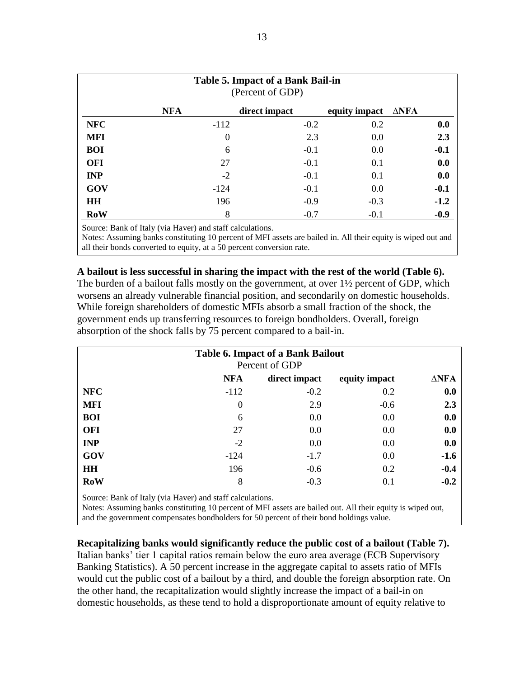|            |            | Table 5. Impact of a Bank Bail-in<br>(Percent of GDP) |                               |        |
|------------|------------|-------------------------------------------------------|-------------------------------|--------|
|            | <b>NFA</b> | direct impact                                         | equity impact $\triangle$ NFA |        |
| <b>NFC</b> | $-112$     | $-0.2$                                                | 0.2                           | 0.0    |
| <b>MFI</b> | $\Omega$   | 2.3                                                   | 0.0                           | 2.3    |
| <b>BOI</b> | 6          | $-0.1$                                                | 0.0                           | $-0.1$ |
| <b>OFI</b> | 27         | $-0.1$                                                | 0.1                           | 0.0    |
| <b>INP</b> | $-2$       | $-0.1$                                                | 0.1                           | 0.0    |
| GOV        | $-124$     | $-0.1$                                                | 0.0                           | $-0.1$ |
| <b>HH</b>  | 196        | $-0.9$                                                | $-0.3$                        | $-1.2$ |
| <b>RoW</b> | 8          | $-0.7$                                                | $-0.1$                        | $-0.9$ |

Source: Bank of Italy (via Haver) and staff calculations.

Notes: Assuming banks constituting 10 percent of MFI assets are bailed in. All their equity is wiped out and all their bonds converted to equity, at a 50 percent conversion rate.

# **A bailout is less successful in sharing the impact with the rest of the world (Table 6).**

The burden of a bailout falls mostly on the government, at over  $1\frac{1}{2}$  percent of GDP, which worsens an already vulnerable financial position, and secondarily on domestic households. While foreign shareholders of domestic MFIs absorb a small fraction of the shock, the government ends up transferring resources to foreign bondholders. Overall, foreign absorption of the shock falls by 75 percent compared to a bail-in.

|            |                  | <b>Table 6. Impact of a Bank Bailout</b><br>Percent of GDP |               |             |
|------------|------------------|------------------------------------------------------------|---------------|-------------|
|            | <b>NFA</b>       | direct impact                                              | equity impact | <b>ΔNFA</b> |
| <b>NFC</b> | $-112$           | $-0.2$                                                     | 0.2           | 0.0         |
| <b>MFI</b> | $\boldsymbol{0}$ | 2.9                                                        | $-0.6$        | 2.3         |
| <b>BOI</b> | 6                | 0.0                                                        | 0.0           | 0.0         |
| <b>OFI</b> | 27               | 0.0                                                        | 0.0           | 0.0         |
| <b>INP</b> | $-2$             | 0.0                                                        | 0.0           | 0.0         |
| GOV        | $-124$           | $-1.7$                                                     | 0.0           | $-1.6$      |
| <b>HH</b>  | 196              | $-0.6$                                                     | 0.2           | $-0.4$      |
| RoW        | 8                | $-0.3$                                                     | 0.1           | $-0.2$      |

Source: Bank of Italy (via Haver) and staff calculations.

Notes: Assuming banks constituting 10 percent of MFI assets are bailed out. All their equity is wiped out, and the government compensates bondholders for 50 percent of their bond holdings value.

# **Recapitalizing banks would significantly reduce the public cost of a bailout (Table 7).**

Italian banks' tier 1 capital ratios remain below the euro area average (ECB Supervisory Banking Statistics). A 50 percent increase in the aggregate capital to assets ratio of MFIs would cut the public cost of a bailout by a third, and double the foreign absorption rate. On the other hand, the recapitalization would slightly increase the impact of a bail-in on domestic households, as these tend to hold a disproportionate amount of equity relative to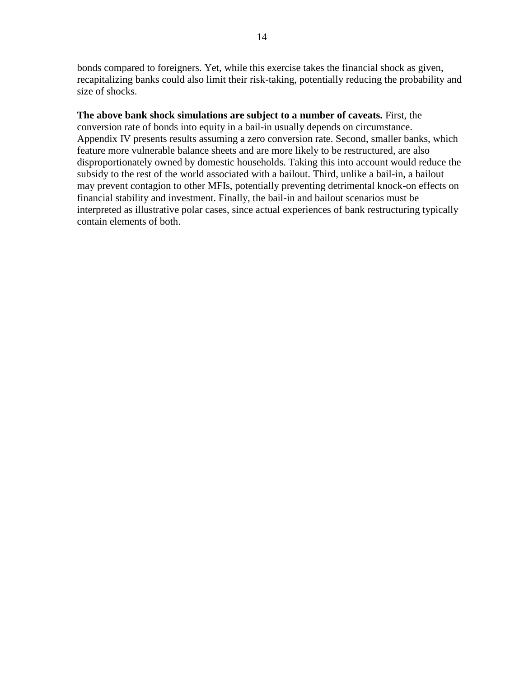bonds compared to foreigners. Yet, while this exercise takes the financial shock as given, recapitalizing banks could also limit their risk-taking, potentially reducing the probability and size of shocks.

# **The above bank shock simulations are subject to a number of caveats.** First, the

conversion rate of bonds into equity in a bail-in usually depends on circumstance. Appendix IV presents results assuming a zero conversion rate. Second, smaller banks, which feature more vulnerable balance sheets and are more likely to be restructured, are also disproportionately owned by domestic households. Taking this into account would reduce the subsidy to the rest of the world associated with a bailout. Third, unlike a bail-in, a bailout may prevent contagion to other MFIs, potentially preventing detrimental knock-on effects on financial stability and investment. Finally, the bail-in and bailout scenarios must be interpreted as illustrative polar cases, since actual experiences of bank restructuring typically contain elements of both.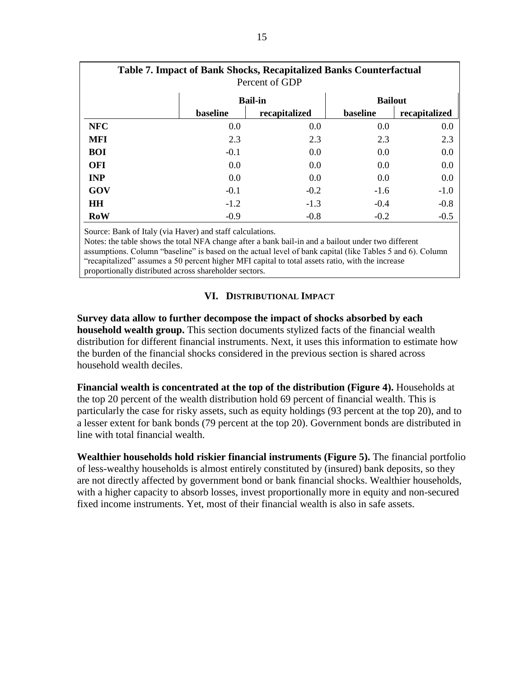|            |          | <b>Table 7. Impact of Bank Shocks, Recapitalized Banks Counterfactual</b><br>Percent of GDP |                |               |
|------------|----------|---------------------------------------------------------------------------------------------|----------------|---------------|
|            |          | <b>Bail-in</b>                                                                              | <b>Bailout</b> |               |
|            | baseline | recapitalized                                                                               | baseline       | recapitalized |
| <b>NFC</b> | 0.0      | 0.0                                                                                         | 0.0            | 0.0           |
| <b>MFI</b> | 2.3      | 2.3                                                                                         | 2.3            | 2.3           |
| <b>BOI</b> | $-0.1$   | 0.0                                                                                         | 0.0            | 0.0           |
| <b>OFI</b> | 0.0      | 0.0                                                                                         | 0.0            | 0.0           |
| <b>INP</b> | 0.0      | 0.0                                                                                         | 0.0            | 0.0           |
| GOV        | $-0.1$   | $-0.2$                                                                                      | $-1.6$         | $-1.0$        |
| <b>HH</b>  | $-1.2$   | $-1.3$                                                                                      | $-0.4$         | $-0.8$        |
| RoW        | $-0.9$   | $-0.8$                                                                                      | $-0.2$         | $-0.5$        |

Source: Bank of Italy (via Haver) and staff calculations.

Notes: the table shows the total NFA change after a bank bail-in and a bailout under two different assumptions. Column "baseline" is based on the actual level of bank capital (like Tables 5 and 6). Column "recapitalized" assumes a 50 percent higher MFI capital to total assets ratio, with the increase proportionally distributed across shareholder sectors.

# **VI. DISTRIBUTIONAL IMPACT**

**Survey data allow to further decompose the impact of shocks absorbed by each household wealth group.** This section documents stylized facts of the financial wealth distribution for different financial instruments. Next, it uses this information to estimate how the burden of the financial shocks considered in the previous section is shared across household wealth deciles.

**Financial wealth is concentrated at the top of the distribution (Figure 4).** Households at the top 20 percent of the wealth distribution hold 69 percent of financial wealth. This is particularly the case for risky assets, such as equity holdings (93 percent at the top 20), and to a lesser extent for bank bonds (79 percent at the top 20). Government bonds are distributed in line with total financial wealth.

**Wealthier households hold riskier financial instruments (Figure 5).** The financial portfolio of less-wealthy households is almost entirely constituted by (insured) bank deposits, so they are not directly affected by government bond or bank financial shocks. Wealthier households, with a higher capacity to absorb losses, invest proportionally more in equity and non-secured fixed income instruments. Yet, most of their financial wealth is also in safe assets.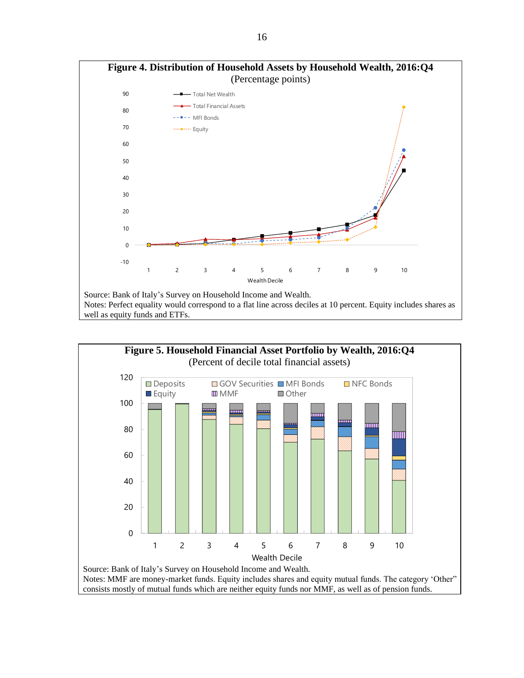



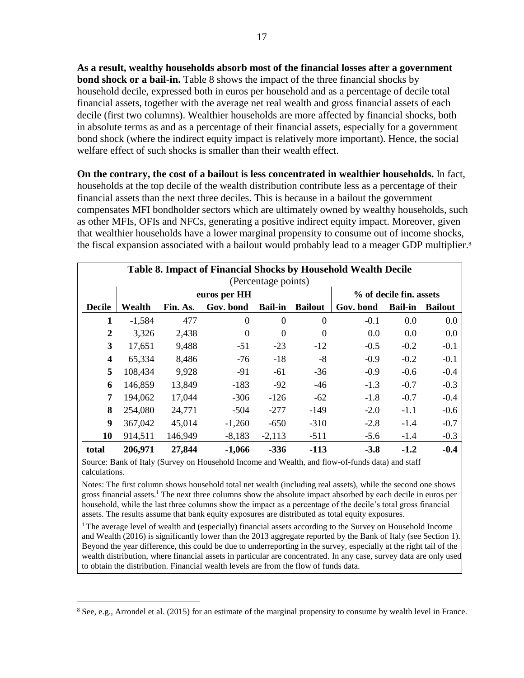**As a result, wealthy households absorb most of the financial losses after a government bond shock or a bail-in.** Table 8 shows the impact of the three financial shocks by household decile, expressed both in euros per household and as a percentage of decile total financial assets, together with the average net real wealth and gross financial assets of each decile (first two columns). Wealthier households are more affected by financial shocks, both in absolute terms as and as a percentage of their financial assets, especially for a government bond shock (where the indirect equity impact is relatively more important). Hence, the social welfare effect of such shocks is smaller than their wealth effect.

**On the contrary, the cost of a bailout is less concentrated in wealthier households.** In fact, households at the top decile of the wealth distribution contribute less as a percentage of their financial assets than the next three deciles. This is because in a bailout the government compensates MFI bondholder sectors which are ultimately owned by wealthy households, such as other MFIs, OFIs and NFCs, generating a positive indirect equity impact. Moreover, given that wealthier households have a lower marginal propensity to consume out of income shocks, the fiscal expansion associated with a bailout would probably lead to a meager GDP multiplier. 8

|               |          |          |                |                     |                  | Table 8. Impact of Financial Shocks by Household Wealth Decile |                         |                |
|---------------|----------|----------|----------------|---------------------|------------------|----------------------------------------------------------------|-------------------------|----------------|
|               |          |          |                | (Percentage points) |                  |                                                                |                         |                |
|               |          |          | euros per HH   |                     |                  |                                                                | % of decile fin. assets |                |
| <b>Decile</b> | Wealth   | Fin. As. | Gov. bond      | <b>Bail-in</b>      | <b>Bailout</b>   | Gov. bond                                                      | <b>Bail-in</b>          | <b>Bailout</b> |
| 1             | $-1,584$ | 477      | $\overline{0}$ | $\Omega$            | $\theta$         | $-0.1$                                                         | 0.0                     | 0.0            |
| 2             | 3,326    | 2,438    | $\theta$       | $\overline{0}$      | $\boldsymbol{0}$ | 0.0                                                            | 0.0                     | 0.0            |
| 3             | 17,651   | 9,488    | $-51$          | $-23$               | $-12$            | $-0.5$                                                         | $-0.2$                  | $-0.1$         |
| 4             | 65,334   | 8,486    | $-76$          | $-18$               | $-8$             | $-0.9$                                                         | $-0.2$                  | $-0.1$         |
| 5             | 108,434  | 9,928    | $-91$          | $-61$               | $-36$            | $-0.9$                                                         | $-0.6$                  | $-0.4$         |
| 6             | 146,859  | 13,849   | $-183$         | $-92$               | $-46$            | $-1.3$                                                         | $-0.7$                  | $-0.3$         |
| 7             | 194,062  | 17,044   | $-306$         | $-126$              | $-62$            | $-1.8$                                                         | $-0.7$                  | $-0.4$         |
| 8             | 254,080  | 24,771   | $-504$         | $-277$              | $-149$           | $-2.0$                                                         | $-1.1$                  | $-0.6$         |
| 9             | 367,042  | 45,014   | $-1,260$       | $-650$              | $-310$           | $-2.8$                                                         | $-1.4$                  | $-0.7$         |
| 10            | 914,511  | 146,949  | $-8,183$       | $-2,113$            | $-511$           | $-5.6$                                                         | $-1.4$                  | $-0.3$         |
| total         | 206,971  | 27,844   | $-1,066$       | $-336$              | $-113$           | $-3.8$                                                         | $-1.2$                  | $-0.4$         |

Source: Bank of Italy (Survey on Household Income and Wealth, and flow-of-funds data) and staff calculations.

Notes: The first column shows household total net wealth (including real assets), while the second one shows gross financial assets.<sup>1</sup> The next three columns show the absolute impact absorbed by each decile in euros per household, while the last three columns show the impact as a percentage of the decile's total gross financial assets. The results assume that bank equity exposures are distributed as total equity exposures.

<sup>1</sup> The average level of wealth and (especially) financial assets according to the Survey on Household Income and Wealth (2016) is significantly lower than the 2013 aggregate reported by the Bank of Italy (see Section 1). Beyond the year difference, this could be due to underreporting in the survey, especially at the right tail of the wealth distribution, where financial assets in particular are concentrated. In any case, survey data are only used to obtain the distribution. Financial wealth levels are from the flow of funds data.

 $\overline{a}$ 

<sup>8</sup> See, e.g., Arrondel et al. (2015) for an estimate of the marginal propensity to consume by wealth level in France.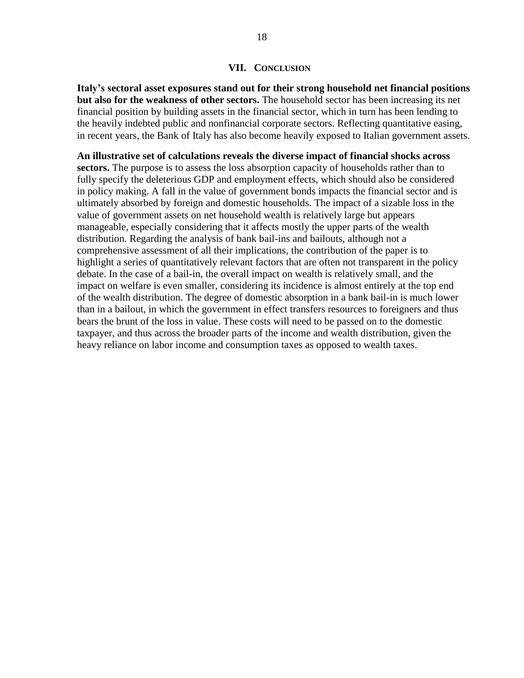#### **VII. CONCLUSION**

**Italy's sectoral asset exposures stand out for their strong household net financial positions but also for the weakness of other sectors.** The household sector has been increasing its net financial position by building assets in the financial sector, which in turn has been lending to the heavily indebted public and nonfinancial corporate sectors. Reflecting quantitative easing, in recent years, the Bank of Italy has also become heavily exposed to Italian government assets.

**An illustrative set of calculations reveals the diverse impact of financial shocks across sectors.** The purpose is to assess the loss absorption capacity of households rather than to fully specify the deleterious GDP and employment effects, which should also be considered in policy making. A fall in the value of government bonds impacts the financial sector and is ultimately absorbed by foreign and domestic households. The impact of a sizable loss in the value of government assets on net household wealth is relatively large but appears manageable, especially considering that it affects mostly the upper parts of the wealth distribution. Regarding the analysis of bank bail-ins and bailouts, although not a comprehensive assessment of all their implications, the contribution of the paper is to highlight a series of quantitatively relevant factors that are often not transparent in the policy debate. In the case of a bail-in, the overall impact on wealth is relatively small, and the impact on welfare is even smaller, considering its incidence is almost entirely at the top end of the wealth distribution. The degree of domestic absorption in a bank bail-in is much lower than in a bailout, in which the government in effect transfers resources to foreigners and thus bears the brunt of the loss in value. These costs will need to be passed on to the domestic taxpayer, and thus across the broader parts of the income and wealth distribution, given the heavy reliance on labor income and consumption taxes as opposed to wealth taxes.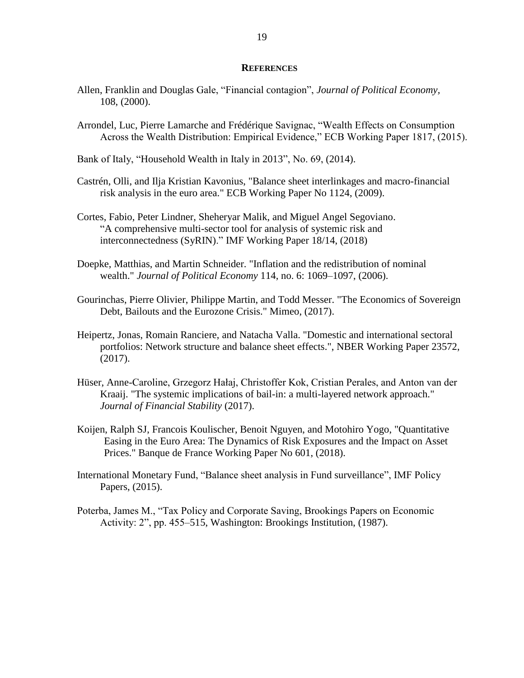#### **REFERENCES**

- Allen, Franklin and Douglas Gale, "Financial contagion", *Journal of Political Economy,* 108, (2000).
- Arrondel, Luc, Pierre Lamarche and Frédérique Savignac, "Wealth Effects on Consumption Across the Wealth Distribution: Empirical Evidence," ECB Working Paper 1817, (2015).
- Bank of Italy, "Household Wealth in Italy in 2013", No. 69, (2014).
- Castrén, Olli, and Ilja Kristian Kavonius, "Balance sheet interlinkages and macro-financial risk analysis in the euro area." ECB Working Paper No 1124, (2009).
- Cortes, Fabio, Peter Lindner, Sheheryar Malik, and Miguel Angel Segoviano. "A comprehensive multi-sector tool for analysis of systemic risk and interconnectedness (SyRIN)." IMF Working Paper 18/14, (2018)
- Doepke, Matthias, and Martin Schneider. "Inflation and the redistribution of nominal wealth." *Journal of Political Economy* 114, no. 6: 1069–1097, (2006).
- Gourinchas, Pierre Olivier, Philippe Martin, and Todd Messer. "The Economics of Sovereign Debt, Bailouts and the Eurozone Crisis." Mimeo, (2017).
- Heipertz, Jonas, Romain Ranciere, and Natacha Valla. "Domestic and international sectoral portfolios: Network structure and balance sheet effects.", NBER Working Paper 23572, (2017).
- Hüser, Anne-Caroline, Grzegorz Hałaj, Christoffer Kok, Cristian Perales, and Anton van der Kraaij. "The systemic implications of bail-in: a multi-layered network approach." *Journal of Financial Stability* (2017).
- Koijen, Ralph SJ, Francois Koulischer, Benoit Nguyen, and Motohiro Yogo, "Quantitative Easing in the Euro Area: The Dynamics of Risk Exposures and the Impact on Asset Prices." Banque de France Working Paper No 601, (2018).
- International Monetary Fund, "Balance sheet analysis in Fund surveillance", IMF Policy Papers, (2015).
- Poterba, James M., "Tax Policy and Corporate Saving, Brookings Papers on Economic Activity: 2", pp. 455–515, Washington: Brookings Institution, (1987).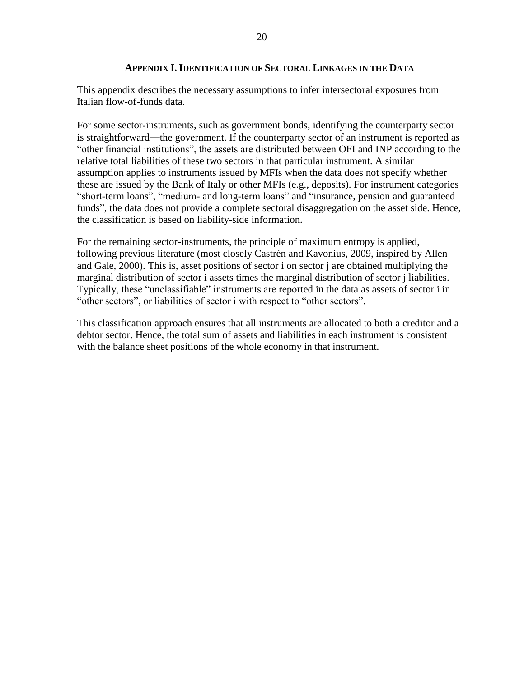### **APPENDIX I. IDENTIFICATION OF SECTORAL LINKAGES IN THE DATA**

This appendix describes the necessary assumptions to infer intersectoral exposures from Italian flow-of-funds data.

For some sector-instruments, such as government bonds, identifying the counterparty sector is straightforward—the government. If the counterparty sector of an instrument is reported as "other financial institutions", the assets are distributed between OFI and INP according to the relative total liabilities of these two sectors in that particular instrument. A similar assumption applies to instruments issued by MFIs when the data does not specify whether these are issued by the Bank of Italy or other MFIs (e.g., deposits). For instrument categories "short-term loans", "medium- and long-term loans" and "insurance, pension and guaranteed funds", the data does not provide a complete sectoral disaggregation on the asset side. Hence, the classification is based on liability-side information.

For the remaining sector-instruments, the principle of maximum entropy is applied, following previous literature (most closely Castrén and Kavonius, 2009, inspired by Allen and Gale, 2000). This is, asset positions of sector i on sector j are obtained multiplying the marginal distribution of sector i assets times the marginal distribution of sector j liabilities. Typically, these "unclassifiable" instruments are reported in the data as assets of sector i in "other sectors", or liabilities of sector i with respect to "other sectors".

This classification approach ensures that all instruments are allocated to both a creditor and a debtor sector. Hence, the total sum of assets and liabilities in each instrument is consistent with the balance sheet positions of the whole economy in that instrument.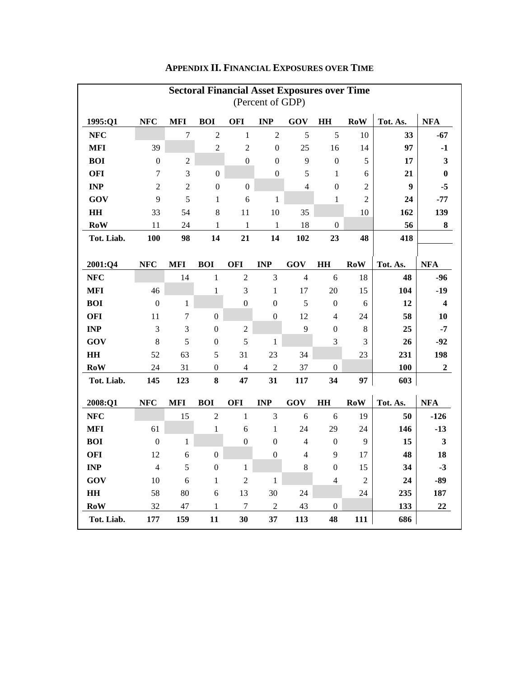|                        |                  |                |                  |                  |                  | <b>Sectoral Financial Asset Exposures over Time</b> |                  |                                                                  |          |                         |
|------------------------|------------------|----------------|------------------|------------------|------------------|-----------------------------------------------------|------------------|------------------------------------------------------------------|----------|-------------------------|
|                        |                  |                |                  |                  | (Percent of GDP) |                                                     |                  |                                                                  |          |                         |
| 1995:Q1                | <b>NFC</b>       | <b>MFI</b>     | <b>BOI</b>       | <b>OFI</b>       | <b>INP</b>       | GOV                                                 | HH               | <b>RoW</b>                                                       | Tot. As. | <b>NFA</b>              |
| <b>NFC</b>             |                  | $\overline{7}$ | $\overline{2}$   | $\mathbf{1}$     | $\overline{2}$   | 5                                                   | 5                | 10                                                               | 33       | $-67$                   |
| <b>MFI</b>             | 39               |                | $\sqrt{2}$       | $\overline{c}$   | $\boldsymbol{0}$ | 25                                                  | 16               | 14                                                               | 97       | $-1$                    |
| <b>BOI</b>             | $\boldsymbol{0}$ | $\overline{c}$ |                  | $\mathbf{0}$     | $\boldsymbol{0}$ | 9                                                   | $\boldsymbol{0}$ | 5                                                                | 17       | $\mathbf{3}$            |
| <b>OFI</b>             | $\tau$           | $\mathfrak{Z}$ | $\boldsymbol{0}$ |                  | $\boldsymbol{0}$ | 5                                                   | $\mathbf 1$      | 6                                                                | 21       | $\boldsymbol{0}$        |
| <b>INP</b>             | $\overline{2}$   | $\overline{2}$ | $\boldsymbol{0}$ | $\boldsymbol{0}$ |                  | $\overline{4}$                                      | $\boldsymbol{0}$ | $\overline{c}$                                                   | 9        | $-5$                    |
| GOV                    | 9                | 5              | $\mathbf{1}$     | 6                | $\mathbf{1}$     |                                                     | $\mathbf{1}$     | $\overline{c}$                                                   | 24       | $-77$                   |
| $\mathbf{H}\mathbf{H}$ | 33               | 54             | 8                | 11               | 10               | 35                                                  |                  | 10                                                               | 162      | 139                     |
| <b>RoW</b>             | 11               | 24             | $\mathbf 1$      | 1                | 1                | 18                                                  | $\boldsymbol{0}$ |                                                                  | 56       | 8                       |
| Tot. Liab.             | 100              | 98             | 14               | 21               | 14               | 102                                                 | 23               | 48                                                               | 418      |                         |
|                        |                  |                |                  |                  |                  |                                                     |                  |                                                                  |          |                         |
| 2001:Q4                | <b>NFC</b>       | <b>MFI</b>     | <b>BOI</b>       | <b>OFI</b>       | $\bf{INP}$       | GOV                                                 | H H              | <b>RoW</b>                                                       | Tot. As. | <b>NFA</b>              |
| <b>NFC</b>             |                  | 14             | $\mathbf{1}$     | $\sqrt{2}$       | $\mathfrak{Z}$   | $\overline{4}$                                      | $\sqrt{6}$       | 18                                                               | 48       | $-96$                   |
| <b>MFI</b>             | 46               |                | $\mathbf{1}$     | 3                | $\mathbf{1}$     | 17                                                  | 20               | 15                                                               | 104      | $-19$                   |
| <b>BOI</b>             | $\mathbf{0}$     | $\mathbf{1}$   |                  | $\boldsymbol{0}$ | $\boldsymbol{0}$ | 5                                                   | $\boldsymbol{0}$ | 6                                                                | 12       | $\overline{\mathbf{4}}$ |
| <b>OFI</b>             | 11               | 7              | $\boldsymbol{0}$ |                  | $\boldsymbol{0}$ | 12                                                  | 4                | 24                                                               | 58       | 10                      |
| <b>INP</b>             | 3                | $\mathfrak{Z}$ | $\boldsymbol{0}$ | $\overline{2}$   |                  | 9                                                   | $\boldsymbol{0}$ | $\,8\,$                                                          | 25       | $-7$                    |
| GOV                    | 8                | 5              | $\boldsymbol{0}$ | 5                | $\mathbf{1}$     |                                                     | 3                | 3                                                                | 26       | $-92$                   |
| H H                    | 52               | 63             | 5                | 31               | 23               | 34                                                  |                  | 23                                                               | 231      | 198                     |
| <b>RoW</b>             | 24               | 31             | $\boldsymbol{0}$ | $\overline{4}$   | $\overline{c}$   | 37                                                  | $\boldsymbol{0}$ |                                                                  | 100      | $\boldsymbol{2}$        |
| Tot. Liab.             | 145              | 123            | 8                | 47               | 31               | 117                                                 | 34               | 97                                                               | 603      |                         |
| 2008:Q1                | <b>NFC</b>       | <b>MFI</b>     | <b>BOI</b>       | <b>OFI</b>       | <b>INP</b>       | GOV                                                 | HH               | $\bf{Row}$                                                       | Tot. As. | <b>NFA</b>              |
| <b>NFC</b>             |                  | 15             | $\sqrt{2}$       | $\mathbf{1}$     | $\mathfrak{Z}$   | 6                                                   | 6                | 19                                                               | 50       | $-126$                  |
| <b>MFI</b>             | 61               |                | $\mathbf{1}$     | 6                | $\mathbf{1}$     | 24                                                  | 29               | 24                                                               | 146      | $-13$                   |
| <b>BOI</b>             | $\boldsymbol{0}$ | $\mathbf{1}$   |                  | $\boldsymbol{0}$ | $\boldsymbol{0}$ | $\overline{4}$                                      | $\boldsymbol{0}$ | 9                                                                | 15       | $\mathbf{3}$            |
| <b>OFI</b>             | 12               | 6              | $\boldsymbol{0}$ |                  | $\boldsymbol{0}$ | $\overline{4}$                                      | 9                | 17                                                               | 48       | 18                      |
| <b>INP</b>             | $\overline{4}$   | 5              | $\boldsymbol{0}$ | $\mathbf{1}$     |                  | 8                                                   | $\boldsymbol{0}$ | 15                                                               | 34       | $-3$                    |
| GOV                    | 10               | 6              | $\mathbf{1}$     | $\overline{2}$   | $\mathbf{1}$     |                                                     | $\overline{4}$   | $\mathfrak{2}% _{T}=\mathfrak{2}_{T}\!\left( T_{T_{1}}\right) ,$ | 24       | $-89$                   |
| HH                     | 58               | 80             | 6                | 13               | 30               | 24                                                  |                  | 24                                                               | 235      | 187                     |
| <b>RoW</b>             | 32               | 47             | 1                | $\overline{7}$   | $\overline{c}$   | 43                                                  | $\boldsymbol{0}$ |                                                                  | 133      | 22                      |
| Tot. Liab.             | 177              | 159            | 11               | 30               | 37               | 113                                                 | 48               | 111                                                              | 686      |                         |

# **APPENDIX II. FINANCIAL EXPOSURES OVER TIME**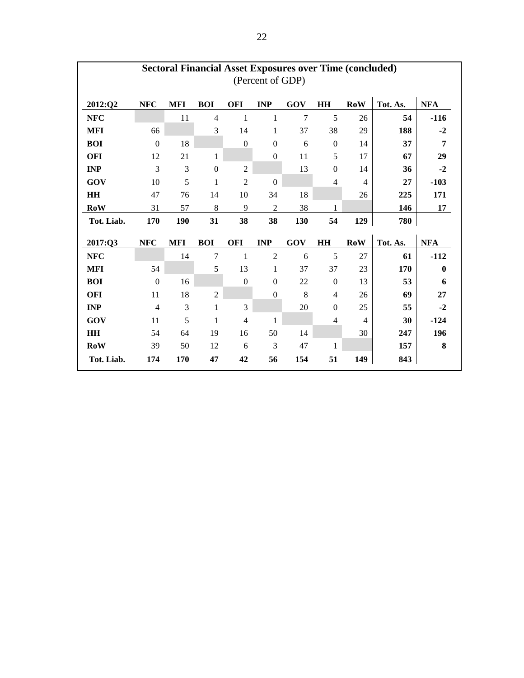|            |                  |            |                  |                | (Percent of GDP) | <b>Sectoral Financial Asset Exposures over Time (concluded)</b> |                          |                |          |            |
|------------|------------------|------------|------------------|----------------|------------------|-----------------------------------------------------------------|--------------------------|----------------|----------|------------|
| 2012:Q2    | <b>NFC</b>       | <b>MFI</b> | <b>BOI</b>       | OFI            | <b>INP</b>       | GOV                                                             | <b>HH</b>                | $\bf{Row}$     | Tot. As. | <b>NFA</b> |
| NFC        |                  | 11         | $\overline{4}$   | $\mathbf{1}$   | $\,1$            | $\overline{7}$                                                  | 5                        | 26             | 54       | $-116$     |
| <b>MFI</b> | 66               |            | 3                | 14             | $\mathbf{1}$     | 37                                                              | 38                       | 29             | 188      | $-2$       |
| <b>BOI</b> | $\boldsymbol{0}$ | 18         |                  | $\mathbf{0}$   | $\boldsymbol{0}$ | 6                                                               | $\boldsymbol{0}$         | 14             | 37       | 7          |
| <b>OFI</b> | 12               | 21         | 1                |                | $\boldsymbol{0}$ | 11                                                              | 5                        | 17             | 67       | 29         |
| <b>INP</b> | 3                | 3          | $\boldsymbol{0}$ | $\overline{2}$ |                  | 13                                                              | $\boldsymbol{0}$         | 14             | 36       | $-2$       |
| GOV        | 10               | 5          | $\mathbf{1}$     | $\overline{2}$ | $\mathbf{0}$     |                                                                 | $\overline{4}$           | $\overline{4}$ | 27       | $-103$     |
| HH         | 47               | 76         | 14               | 10             | 34               | 18                                                              |                          | 26             | 225      | 171        |
| RoW        | 31               | 57         | 8                | 9              | $\mathbf{2}$     | 38                                                              | 1                        |                | 146      | 17         |
| Tot. Liab. | 170              |            |                  |                |                  |                                                                 |                          |                |          |            |
|            |                  | 190        | 31               | 38             | 38               | 130                                                             | 54                       | 129            | 780      |            |
| 2017:Q3    | <b>NFC</b>       | <b>MFI</b> | <b>BOI</b>       | <b>OFI</b>     | <b>INP</b>       | GOV                                                             | <b>HH</b>                | <b>RoW</b>     | Tot. As. | <b>NFA</b> |
| <b>NFC</b> |                  | 14         | 7                | $\mathbf{1}$   | $\overline{2}$   | 6                                                               | 5                        | 27             | 61       | $-112$     |
| <b>MFI</b> | 54               |            | 5                | 13             | $\mathbf{1}$     | 37                                                              | 37                       | 23             | 170      | $\bf{0}$   |
| <b>BOI</b> | $\boldsymbol{0}$ | 16         |                  | $\mathbf{0}$   | $\boldsymbol{0}$ | 22                                                              | $\boldsymbol{0}$         | 13             | 53       | 6          |
| <b>OFI</b> | 11               | 18         | $\overline{2}$   |                | $\boldsymbol{0}$ | 8                                                               | $\overline{\mathcal{A}}$ | 26             | 69       | 27         |
| <b>INP</b> | $\overline{4}$   | 3          | $\mathbf{1}$     | 3              |                  | 20                                                              | $\boldsymbol{0}$         | 25             | 55       | $-2$       |
| GOV        | 11               | 5          | $\mathbf{1}$     | $\overline{4}$ | 1                |                                                                 | $\overline{4}$           | $\overline{4}$ | 30       | $-124$     |
| HH         | 54               | 64         | 19               | 16             | 50               | 14                                                              |                          | 30             | 247      | 196        |
| RoW        | 39               | 50         | 12               | 6              | 3                | 47                                                              | 1                        |                | 157      | 8          |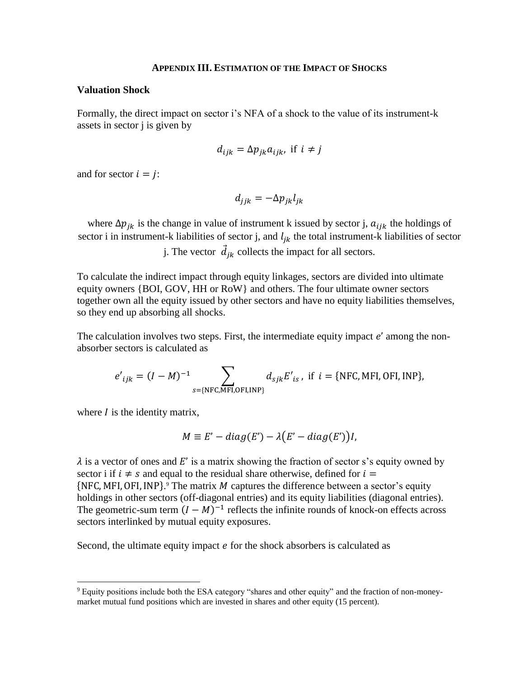#### **APPENDIX III. ESTIMATION OF THE IMPACT OF SHOCKS**

### **Valuation Shock**

Formally, the direct impact on sector i's NFA of a shock to the value of its instrument-k assets in sector j is given by

$$
d_{ijk} = \Delta p_{jk} a_{ijk}, \text{ if } i \neq j
$$

and for sector  $i = j$ :

$$
d_{jjk} = -\Delta p_{jk} l_{jk}
$$

where  $\Delta p_{jk}$  is the change in value of instrument k issued by sector j,  $a_{ijk}$  the holdings of sector i in instrument-k liabilities of sector j, and  $l_{jk}$  the total instrument-k liabilities of sector

j. The vector  $\vec{d}_{jk}$  collects the impact for all sectors.

To calculate the indirect impact through equity linkages, sectors are divided into ultimate equity owners {BOI, GOV, HH or RoW} and others. The four ultimate owner sectors together own all the equity issued by other sectors and have no equity liabilities themselves, so they end up absorbing all shocks.

The calculation involves two steps. First, the intermediate equity impact  $e'$  among the nonabsorber sectors is calculated as

$$
e'_{ijk} = (I - M)^{-1}
$$
  

$$
\sum_{s = \{NFC, MFI, OFI, INP\}} d_{sjk} E'_{is}, \text{ if } i = \{NFC, MFI, OFI, INP\},
$$

where  *is the identity matrix,* 

 $\overline{a}$ 

$$
M \equiv E' - diag(E') - \lambda (E' - diag(E'))I,
$$

 $\lambda$  is a vector of ones and E' is a matrix showing the fraction of sector s's equity owned by sector i if  $i \neq s$  and equal to the residual share otherwise, defined for  $i =$  ${NFC, MFI, OFI, INP}$ .<sup>9</sup> The matrix M captures the difference between a sector's equity holdings in other sectors (off-diagonal entries) and its equity liabilities (diagonal entries). The geometric-sum term  $(I - M)^{-1}$  reflects the infinite rounds of knock-on effects across sectors interlinked by mutual equity exposures.

Second, the ultimate equity impact  $e$  for the shock absorbers is calculated as

<sup>9</sup> Equity positions include both the ESA category "shares and other equity" and the fraction of non-moneymarket mutual fund positions which are invested in shares and other equity (15 percent).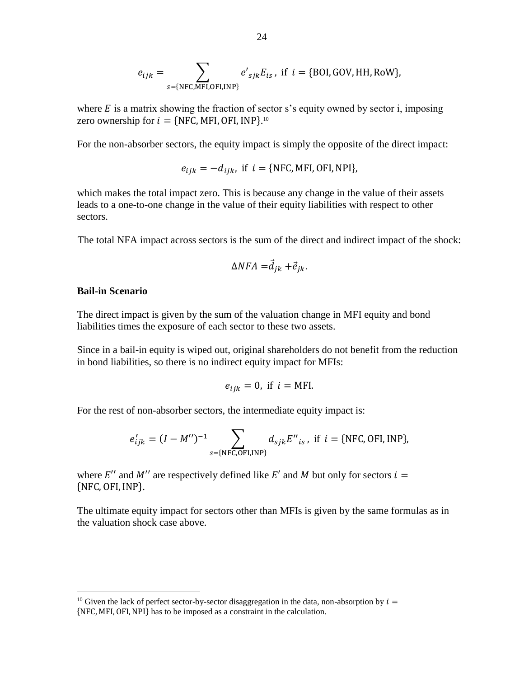$$
e_{ijk} = \sum_{s = \{NFC, MFI, OFI, INP\}} e'_{sjk} E_{is}, \text{ if } i = \{BOI, GOV, HH, Row\},
$$

where  $E$  is a matrix showing the fraction of sector s's equity owned by sector i, imposing zero ownership for  $i = \{NFC, MFI, OFI, INP\}$ .<sup>10</sup>

For the non-absorber sectors, the equity impact is simply the opposite of the direct impact:

$$
e_{ijk} = -d_{ijk}
$$
, if  $i = \{NFC, MFI, OFI, NPI\}$ ,

which makes the total impact zero. This is because any change in the value of their assets leads to a one-to-one change in the value of their equity liabilities with respect to other sectors.

The total NFA impact across sectors is the sum of the direct and indirect impact of the shock:

$$
\Delta NFA = \vec{d}_{jk} + \vec{e}_{jk}.
$$

#### **Bail-in Scenario**

 $\overline{a}$ 

The direct impact is given by the sum of the valuation change in MFI equity and bond liabilities times the exposure of each sector to these two assets.

Since in a bail-in equity is wiped out, original shareholders do not benefit from the reduction in bond liabilities, so there is no indirect equity impact for MFIs:

$$
e_{ijk}=0, \text{ if } i=\text{MFI.}
$$

For the rest of non-absorber sectors, the intermediate equity impact is:

$$
e'_{ijk} = (I - M'')^{-1} \sum_{s = \{NFC, OFI, INP\}} d_{sjk} E''_{is}
$$
, if  $i = \{NFC, OFI, INP\}$ ,

where  $E''$  and  $M''$  are respectively defined like  $E'$  and  $M$  but only for sectors  $i =$ {NFC, OFI, INP}.

The ultimate equity impact for sectors other than MFIs is given by the same formulas as in the valuation shock case above.

<sup>&</sup>lt;sup>10</sup> Given the lack of perfect sector-by-sector disaggregation in the data, non-absorption by  $i =$ {NFC, MFI,OFI,NPI} has to be imposed as a constraint in the calculation.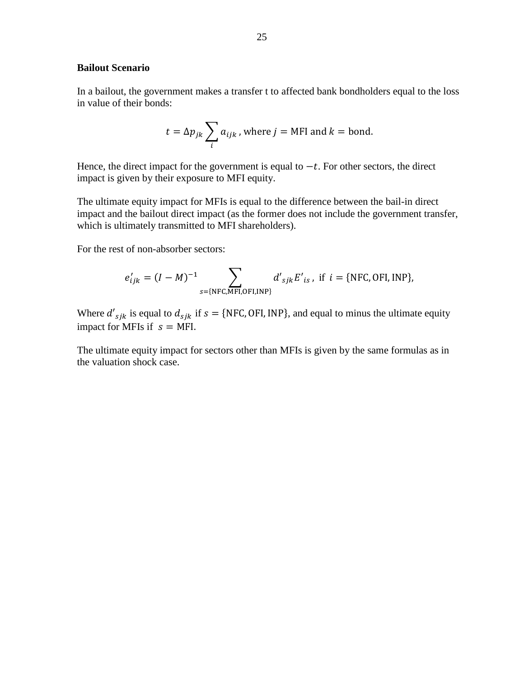# **Bailout Scenario**

In a bailout, the government makes a transfer t to affected bank bondholders equal to the loss in value of their bonds:

$$
t = \Delta p_{jk} \sum_{i} a_{ijk}
$$
, where  $j = \text{MFI}$  and  $k = \text{bond}$ .

Hence, the direct impact for the government is equal to  $-t$ . For other sectors, the direct impact is given by their exposure to MFI equity.

The ultimate equity impact for MFIs is equal to the difference between the bail-in direct impact and the bailout direct impact (as the former does not include the government transfer, which is ultimately transmitted to MFI shareholders).

For the rest of non-absorber sectors:

$$
e'_{ijk} = (I - M)^{-1}
$$
  

$$
\sum_{s = \{NFC, MFI, OFI, INP\}} d'_{sjk} E'_{is}, \text{ if } i = \{NFC, OFI, INP\},
$$

Where  $d'_{sjk}$  is equal to  $d_{sjk}$  if  $s = {NFC, OFI, INP}$ , and equal to minus the ultimate equity impact for MFIs if  $s = MFI$ .

The ultimate equity impact for sectors other than MFIs is given by the same formulas as in the valuation shock case.